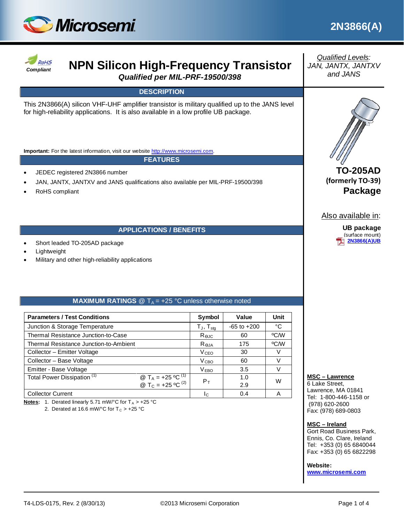



# **ROLAS NPN Silicon High-Frequency Transistor**

*Qualified per MIL-PRF-19500/398*

# **DESCRIPTION**

This 2N3866(A) silicon VHF-UHF amplifier transistor is military qualified up to the JANS level for high-reliability applications. It is also available in a low profile UB package.

**Important:** For the latest information, visit our website [http://www.microsemi.com.](http://www.microsemi.com/)

#### **FEATURES**

- JEDEC registered 2N3866 number
- JAN, JANTX, JANTXV and JANS qualifications also available per MIL-PRF-19500/398
- RoHS compliant

### **APPLICATIONS / BENEFITS**

- Short leaded TO-205AD package
- **Lightweight**
- Military and other high-reliability applications

### **MAXIMUM RATINGS**  $\mathcal{Q}$  T<sub>A</sub> = +25 °C unless otherwise noted

| <b>Parameters / Test Conditions</b>                                                                                            |  | Symbol                  | Value           | Unit |
|--------------------------------------------------------------------------------------------------------------------------------|--|-------------------------|-----------------|------|
| Junction & Storage Temperature                                                                                                 |  | $T_{J}$ , $T_{stg}$     | $-65$ to $+200$ | °C   |
| Thermal Resistance Junction-to-Case                                                                                            |  | Rejc                    | 60              | °C/W |
| Thermal Resistance Junction-to-Ambient                                                                                         |  | $R_{\theta,JA}$         | 175             | °C/W |
| Collector - Emitter Voltage                                                                                                    |  | <b>V</b> <sub>CEO</sub> | 30              | V    |
| Collector - Base Voltage                                                                                                       |  | V <sub>сво</sub>        | 60              | V    |
| Emitter - Base Voltage                                                                                                         |  | V <sub>EBO</sub>        | 3.5             | V    |
| Total Power Dissipation <sup>(1)</sup><br>@ T <sub>A</sub> = +25 °C <sup>(1)</sup><br>@ T <sub>C</sub> = +25 °C <sup>(2)</sup> |  | $P_T$                   | 1.0             | W    |
|                                                                                                                                |  |                         | 2.9             |      |
| <b>Collector Current</b>                                                                                                       |  | Ιc                      | 0.4             | Α    |

**Notes:** 1. Derated linearly 5.71 mW/°C for  $T_A > +25$ °C

2. Derated at 16.6 mW/ $^{\circ}$ C for T<sub>C</sub> > +25  $^{\circ}$ C

*Qualified Levels: JAN, JANTX, JANTXV and JANS*



**TO-205AD (formerly TO-39) Package**

Also available in:

**UB package** (surface mount) **[2N3866\(A\)UB](http://www.microsemi.com/existing-parts/parts/49444#docs-specs)**

#### **MSC – Lawrence**

6 Lake Street, Lawrence, MA 01841 Tel: 1-800-446-1158 or (978) 620-2600 Fax: (978) 689-0803

#### **MSC – Ireland**

Gort Road Business Park, Ennis, Co. Clare, Ireland Tel: +353 (0) 65 6840044 Fax: +353 (0) 65 6822298

#### **Website:**

**[www.microsemi.com](http://www.microsemi.com/)**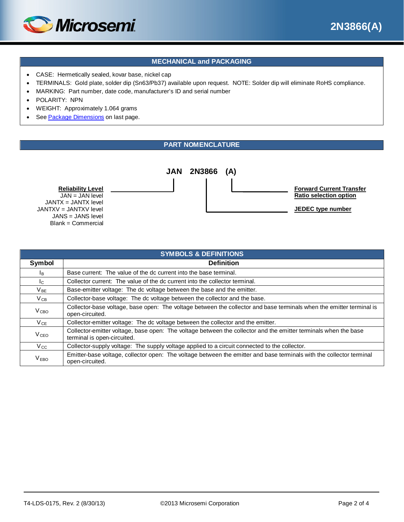



# **MECHANICAL and PACKAGING**

- CASE: Hermetically sealed, kovar base, nickel cap
- TERMINALS: Gold plate, solder dip (Sn63/Pb37) available upon request. NOTE: Solder dip will eliminate RoHS compliance.
- MARKING: Part number, date code, manufacturer's ID and serial number
- POLARITY: NPN
- WEIGHT: Approximately 1.064 grams
- See [Package Dimensions](#page-3-0) on last page.

### **PART NOMENCLATURE**



**Reliability Level** JAN = JAN level JANTX = JANTX level JANTXV = JANTXV level JANS = JANS level Blank = Commercial

| <b>SYMBOLS &amp; DEFINITIONS</b> |                                                                                                                                                |  |  |  |
|----------------------------------|------------------------------------------------------------------------------------------------------------------------------------------------|--|--|--|
| Symbol                           | <b>Definition</b>                                                                                                                              |  |  |  |
| l <sub>B</sub>                   | Base current: The value of the dc current into the base terminal.                                                                              |  |  |  |
| $I_{C}$                          | Collector current: The value of the dc current into the collector terminal.                                                                    |  |  |  |
| $V_{BE}$                         | Base-emitter voltage: The dc voltage between the base and the emitter.                                                                         |  |  |  |
| $V_{CB}$                         | Collector-base voltage: The dc voltage between the collector and the base.                                                                     |  |  |  |
| V <sub>CBO</sub>                 | Collector-base voltage, base open: The voltage between the collector and base terminals when the emitter terminal is<br>open-circuited.        |  |  |  |
| $V_{CE}$                         | Collector-emitter voltage: The dc voltage between the collector and the emitter.                                                               |  |  |  |
| <b>V</b> <sub>CEO</sub>          | Collector-emitter voltage, base open: The voltage between the collector and the emitter terminals when the base<br>terminal is open-circuited. |  |  |  |
| $V_{\rm CC}$                     | Collector-supply voltage: The supply voltage applied to a circuit connected to the collector.                                                  |  |  |  |
| V <sub>EBO</sub>                 | Emitter-base voltage, collector open: The voltage between the emitter and base terminals with the collector terminal<br>open-circuited.        |  |  |  |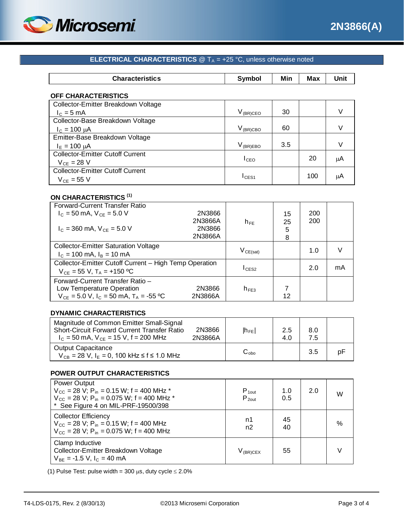

# **ELECTRICAL CHARACTERISTICS**  $@T_A = +25 °C$ , unless otherwise noted

| Characteris<br><b>ISUCS</b> | ------ | Min | <b>Max</b><br>------- | . .<br><b>Les 24</b><br>JIIIL |
|-----------------------------|--------|-----|-----------------------|-------------------------------|
|                             |        |     |                       |                               |

#### **OFF CHARACTERISTICS**

| Collector-Emitter Breakdown Voltage     |                   |     |     |    |
|-----------------------------------------|-------------------|-----|-----|----|
| $I_c = 5$ mA                            | $\rm V_{(BR)CEO}$ | 30  |     |    |
| Collector-Base Breakdown Voltage        |                   |     |     |    |
| $I_c = 100 \mu A$                       | $V_{\rm (BR)CBC}$ | 60  |     |    |
| Emitter-Base Breakdown Voltage          |                   |     |     |    |
| $I_{E} = 100 \mu A$                     | $V_{(BR)EBO}$     | 3.5 |     |    |
| <b>Collector-Emitter Cutoff Current</b> |                   |     | 20  |    |
| $V_{CF} = 28 V$                         | I <sub>ceo</sub>  |     |     | μA |
| <b>Collector-Emitter Cutoff Current</b> |                   |     |     |    |
|                                         | ICES1             |     | 100 | μA |
| $V_{CF}$ = 55 V                         |                   |     |     |    |

# **ON CHARACTERISTICS (1)**

| Forward-Current Transfer Ratio                         |         |                       |    |     |    |
|--------------------------------------------------------|---------|-----------------------|----|-----|----|
| $I_c = 50$ mA, $V_{CE} = 5.0$ V                        | 2N3866  |                       | 15 | 200 |    |
|                                                        | 2N3866A | $h_{FF}$              | 25 | 200 |    |
| $I_C = 360$ mA, $V_{CF} = 5.0$ V                       | 2N3866  |                       | 5  |     |    |
|                                                        | 2N3866A |                       | 8  |     |    |
| <b>Collector-Emitter Saturation Voltage</b>            |         |                       |    |     |    |
| $I_c = 100$ mA, $I_B = 10$ mA                          |         | $\rm V_{\rm CE(sat)}$ |    | 1.0 |    |
| Collector-Emitter Cutoff Current - High Temp Operation |         |                       |    |     |    |
| $V_{CE}$ = 55 V, T <sub>A</sub> = +150 °C              |         | $lc$ <sub>ES2</sub>   |    | 2.0 | mA |
| Forward-Current Transfer Ratio -                       |         |                       |    |     |    |
| Low Temperature Operation                              | 2N3866  | $h_{FF3}$             |    |     |    |
| $V_{CE} = 5.0 V$ , $I_C = 50$ mA, $T_A = -55$ °C       | 2N3866A |                       | 12 |     |    |

# **DYNAMIC CHARACTERISTICS**

| Magnitude of Common Emitter Small-Signal<br><b>Short-Circuit Forward Current Transfer Ratio</b><br>$I_c$ = 50 mA, $V_{CE}$ = 15 V, f = 200 MHz | 2N3866<br>2N3866A | $ h_{FE} $              | 2.5<br>4.0 | 8.0<br>7.5 |    |
|------------------------------------------------------------------------------------------------------------------------------------------------|-------------------|-------------------------|------------|------------|----|
| <b>Output Capacitance</b><br>$V_{CB}$ = 28 V, I <sub>E</sub> = 0, 100 kHz $\leq$ f $\leq$ 1.0 MHz                                              |                   | $\mathrm{C_{\circ ho}}$ |            | 3.5        | рF |

### **POWER OUTPUT CHARACTERISTICS**

| Power Output<br>$V_{\text{CC}}$ = 28 V; P <sub>in</sub> = 0.15 W; f = 400 MHz *<br>$V_{\text{CC}}$ = 28 V; P <sub>in</sub> = 0.075 W; f = 400 MHz *<br>* See Figure 4 on MIL-PRF-19500/398 | $P_{1out}$<br>$P_{2out}$ | 1.0<br>0.5 | 2.0 | w    |
|--------------------------------------------------------------------------------------------------------------------------------------------------------------------------------------------|--------------------------|------------|-----|------|
| <b>Collector Efficiency</b><br>$V_{\text{CC}}$ = 28 V; P <sub>in</sub> = 0.15 W; f = 400 MHz<br>$V_{\text{CC}}$ = 28 V; P <sub>in</sub> = 0.075 W; f = 400 MHz                             | n1<br>n2                 | 45<br>40   |     | $\%$ |
| Clamp Inductive<br>Collector-Emitter Breakdown Voltage<br>$V_{BF}$ = -1.5 V, I <sub>C</sub> = 40 mA                                                                                        | V <sub>(BR)CEX</sub>     | 55         |     |      |

(1) Pulse Test: pulse width =  $300 \mu s$ , duty cycle  $\leq 2.0\%$